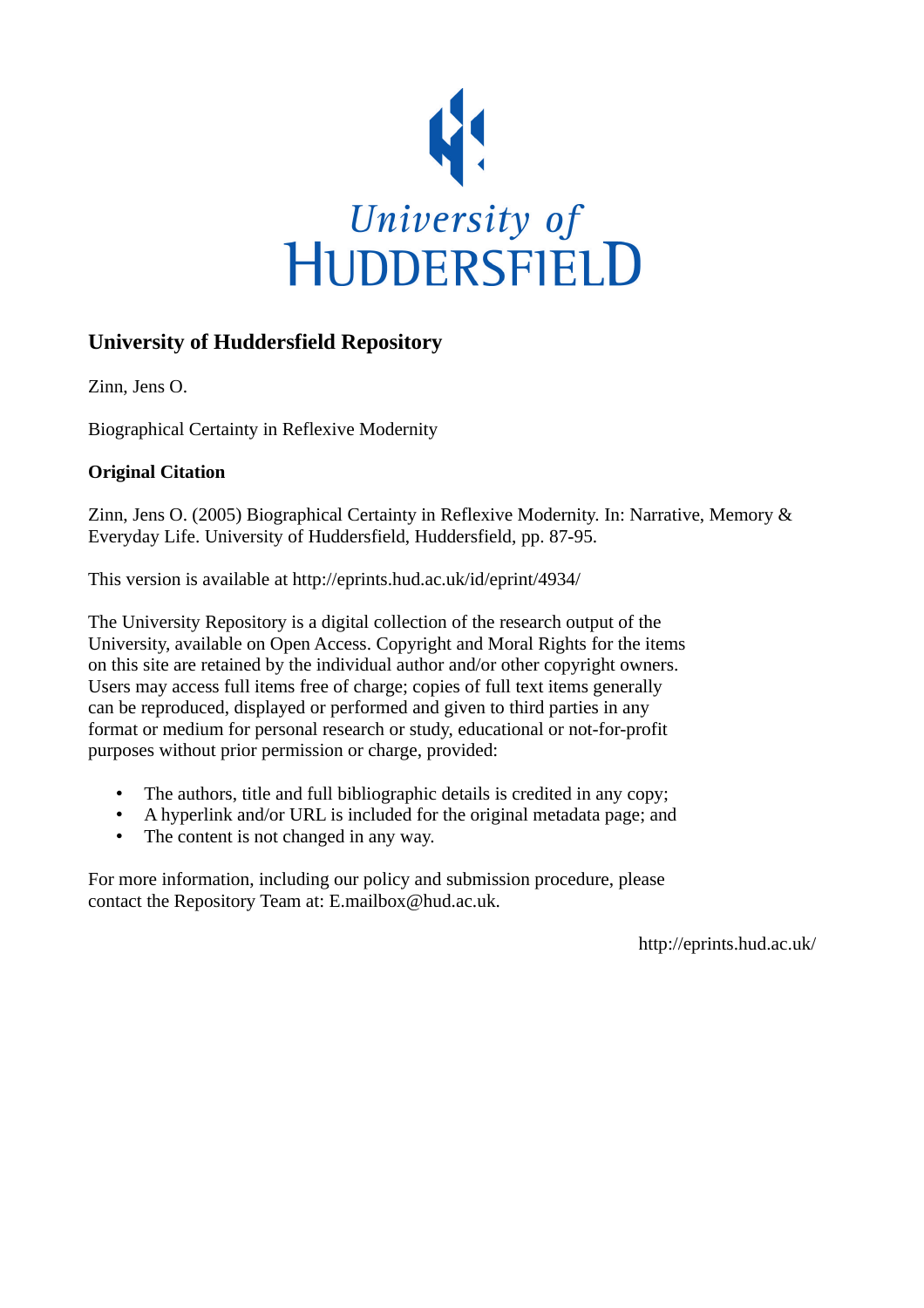

## **University of Huddersfield Repository**

Zinn, Jens O.

Biographical Certainty in Reflexive Modernity

### **Original Citation**

Zinn, Jens O. (2005) Biographical Certainty in Reflexive Modernity. In: Narrative, Memory & Everyday Life. University of Huddersfield, Huddersfield, pp. 87-95.

This version is available at http://eprints.hud.ac.uk/id/eprint/4934/

The University Repository is a digital collection of the research output of the University, available on Open Access. Copyright and Moral Rights for the items on this site are retained by the individual author and/or other copyright owners. Users may access full items free of charge; copies of full text items generally can be reproduced, displayed or performed and given to third parties in any format or medium for personal research or study, educational or not-for-profit purposes without prior permission or charge, provided:

- The authors, title and full bibliographic details is credited in any copy;
- A hyperlink and/or URL is included for the original metadata page; and
- The content is not changed in any way.

For more information, including our policy and submission procedure, please contact the Repository Team at: E.mailbox@hud.ac.uk.

http://eprints.hud.ac.uk/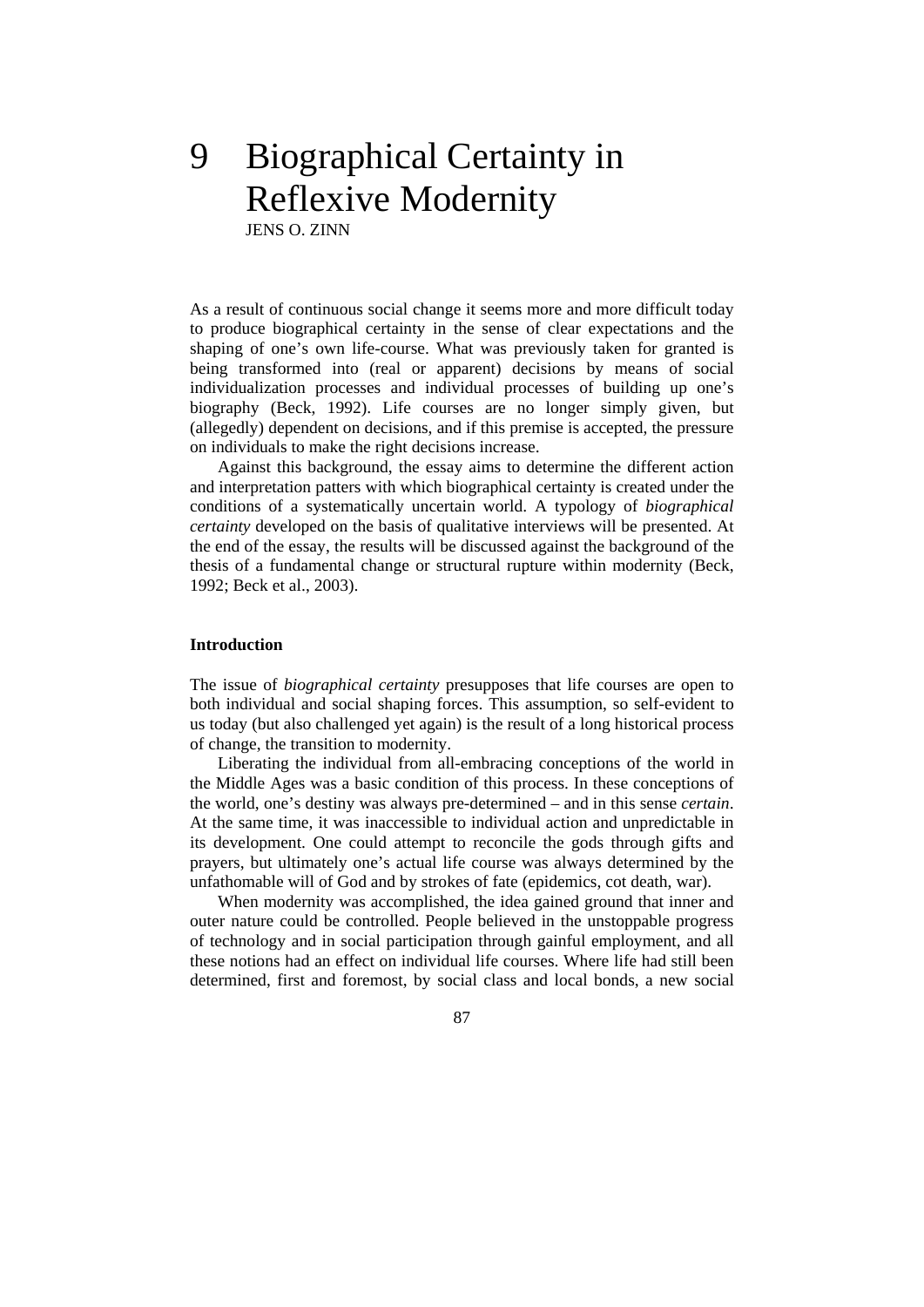# 9 Biographical Certainty in Reflexive Modernity

JENS O. ZINN

As a result of continuous social change it seems more and more difficult today to produce biographical certainty in the sense of clear expectations and the shaping of one's own life-course. What was previously taken for granted is being transformed into (real or apparent) decisions by means of social individualization processes and individual processes of building up one's biography (Beck, 1992). Life courses are no longer simply given, but (allegedly) dependent on decisions, and if this premise is accepted, the pressure on individuals to make the right decisions increase.

 Against this background, the essay aims to determine the different action and interpretation patters with which biographical certainty is created under the conditions of a systematically uncertain world. A typology of *biographical certainty* developed on the basis of qualitative interviews will be presented. At the end of the essay, the results will be discussed against the background of the thesis of a fundamental change or structural rupture within modernity (Beck, 1992; Beck et al., 2003).

#### **Introduction**

The issue of *biographical certainty* presupposes that life courses are open to both individual and social shaping forces. This assumption, so self-evident to us today (but also challenged yet again) is the result of a long historical process of change, the transition to modernity.

 Liberating the individual from all-embracing conceptions of the world in the Middle Ages was a basic condition of this process. In these conceptions of the world, one's destiny was always pre-determined – and in this sense *certain*. At the same time, it was inaccessible to individual action and unpredictable in its development. One could attempt to reconcile the gods through gifts and prayers, but ultimately one's actual life course was always determined by the unfathomable will of God and by strokes of fate (epidemics, cot death, war).

 When modernity was accomplished, the idea gained ground that inner and outer nature could be controlled. People believed in the unstoppable progress of technology and in social participation through gainful employment, and all these notions had an effect on individual life courses. Where life had still been determined, first and foremost, by social class and local bonds, a new social

87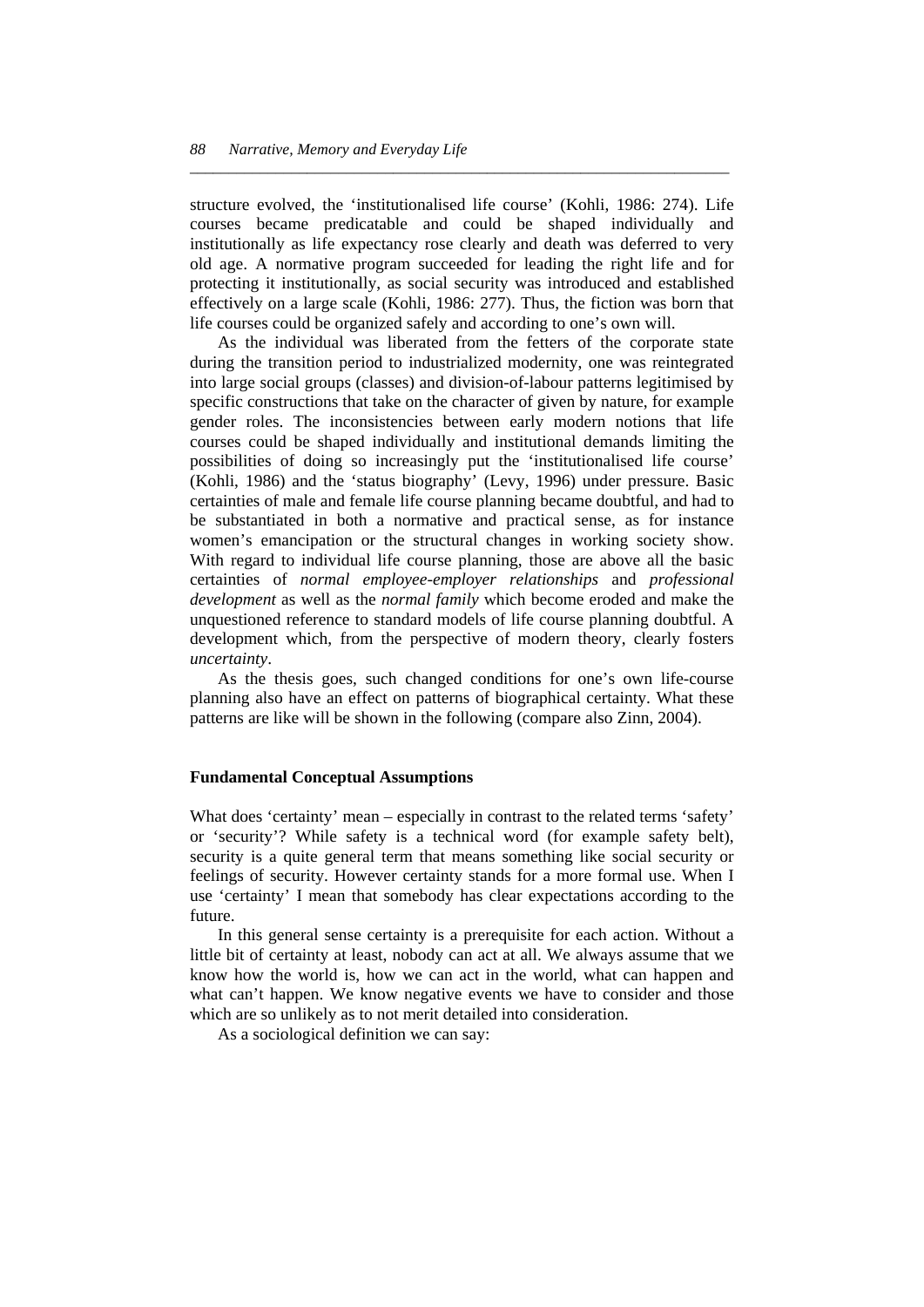structure evolved, the 'institutionalised life course' (Kohli, 1986: 274). Life courses became predicatable and could be shaped individually and institutionally as life expectancy rose clearly and death was deferred to very old age. A normative program succeeded for leading the right life and for protecting it institutionally, as social security was introduced and established effectively on a large scale (Kohli, 1986: 277). Thus, the fiction was born that life courses could be organized safely and according to one's own will.

*\_\_\_\_\_\_\_\_\_\_\_\_\_\_\_\_\_\_\_\_\_\_\_\_\_\_\_\_\_\_\_\_\_\_\_\_\_\_\_\_\_\_\_\_\_\_\_\_\_\_\_\_\_\_\_\_\_\_\_\_\_\_\_\_\_\_\_\_\_* 

 As the individual was liberated from the fetters of the corporate state during the transition period to industrialized modernity, one was reintegrated into large social groups (classes) and division-of-labour patterns legitimised by specific constructions that take on the character of given by nature, for example gender roles. The inconsistencies between early modern notions that life courses could be shaped individually and institutional demands limiting the possibilities of doing so increasingly put the 'institutionalised life course' (Kohli, 1986) and the 'status biography' (Levy, 1996) under pressure. Basic certainties of male and female life course planning became doubtful, and had to be substantiated in both a normative and practical sense, as for instance women's emancipation or the structural changes in working society show. With regard to individual life course planning, those are above all the basic certainties of *normal employee-employer relationships* and *professional development* as well as the *normal family* which become eroded and make the unquestioned reference to standard models of life course planning doubtful. A development which, from the perspective of modern theory, clearly fosters *uncertainty*.

 As the thesis goes, such changed conditions for one's own life-course planning also have an effect on patterns of biographical certainty. What these patterns are like will be shown in the following (compare also Zinn, 2004).

#### **Fundamental Conceptual Assumptions**

What does 'certainty' mean – especially in contrast to the related terms 'safety' or 'security'? While safety is a technical word (for example safety belt), security is a quite general term that means something like social security or feelings of security. However certainty stands for a more formal use. When I use 'certainty' I mean that somebody has clear expectations according to the future.

 In this general sense certainty is a prerequisite for each action. Without a little bit of certainty at least, nobody can act at all. We always assume that we know how the world is, how we can act in the world, what can happen and what can't happen. We know negative events we have to consider and those which are so unlikely as to not merit detailed into consideration.

As a sociological definition we can say: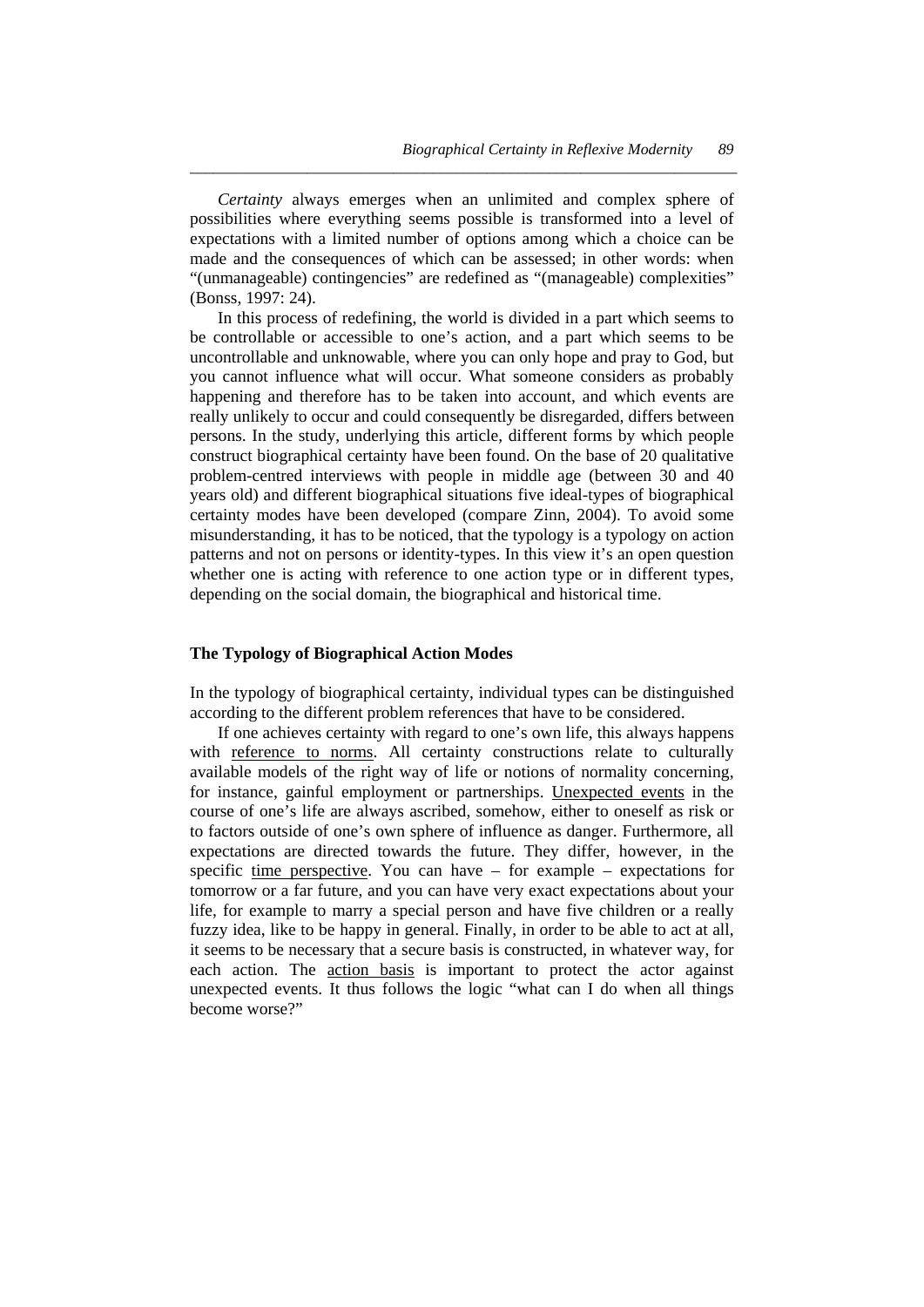*Certainty* always emerges when an unlimited and complex sphere of possibilities where everything seems possible is transformed into a level of expectations with a limited number of options among which a choice can be made and the consequences of which can be assessed; in other words: when "(unmanageable) contingencies" are redefined as "(manageable) complexities" (Bonss, 1997: 24).

*\_\_\_\_\_\_\_\_\_\_\_\_\_\_\_\_\_\_\_\_\_\_\_\_\_\_\_\_\_\_\_\_\_\_\_\_\_\_\_\_\_\_\_\_\_\_\_\_\_\_\_\_\_\_\_\_\_\_\_\_\_\_\_\_\_\_\_\_\_\_* 

 In this process of redefining, the world is divided in a part which seems to be controllable or accessible to one's action, and a part which seems to be uncontrollable and unknowable, where you can only hope and pray to God, but you cannot influence what will occur. What someone considers as probably happening and therefore has to be taken into account, and which events are really unlikely to occur and could consequently be disregarded, differs between persons. In the study, underlying this article, different forms by which people construct biographical certainty have been found. On the base of 20 qualitative problem-centred interviews with people in middle age (between 30 and 40 years old) and different biographical situations five ideal-types of biographical certainty modes have been developed (compare Zinn, 2004). To avoid some misunderstanding, it has to be noticed, that the typology is a typology on action patterns and not on persons or identity-types. In this view it's an open question whether one is acting with reference to one action type or in different types, depending on the social domain, the biographical and historical time.

#### **The Typology of Biographical Action Modes**

In the typology of biographical certainty, individual types can be distinguished according to the different problem references that have to be considered.

 If one achieves certainty with regard to one's own life, this always happens with reference to norms. All certainty constructions relate to culturally available models of the right way of life or notions of normality concerning, for instance, gainful employment or partnerships. Unexpected events in the course of one's life are always ascribed, somehow, either to oneself as risk or to factors outside of one's own sphere of influence as danger. Furthermore, all expectations are directed towards the future. They differ, however, in the specific time perspective. You can have – for example – expectations for tomorrow or a far future, and you can have very exact expectations about your life, for example to marry a special person and have five children or a really fuzzy idea, like to be happy in general. Finally, in order to be able to act at all, it seems to be necessary that a secure basis is constructed, in whatever way, for each action. The action basis is important to protect the actor against unexpected events. It thus follows the logic "what can I do when all things become worse?"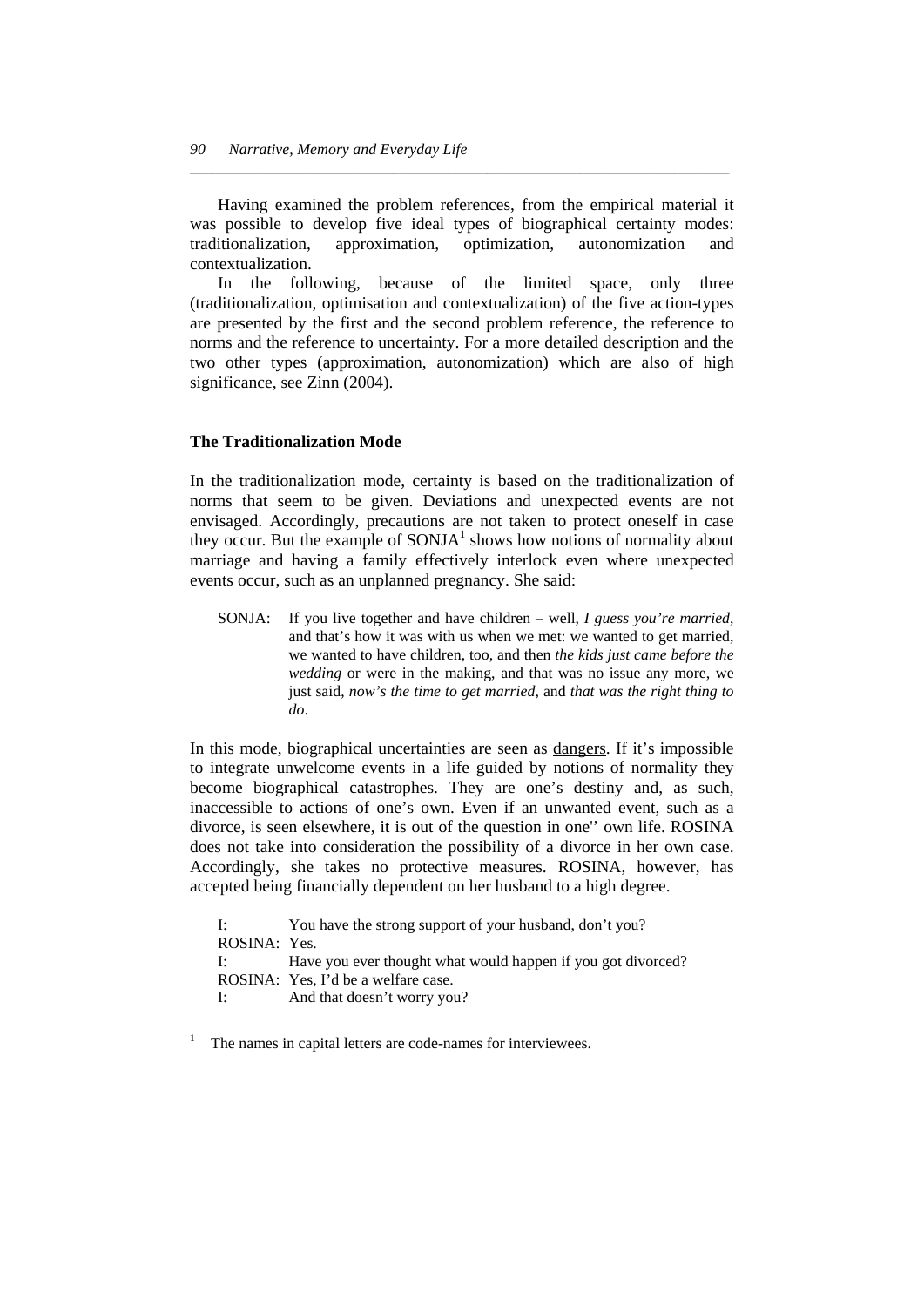Having examined the problem references, from the empirical material it was possible to develop five ideal types of biographical certainty modes: traditionalization, approximation, optimization, autonomization and contextualization.

*\_\_\_\_\_\_\_\_\_\_\_\_\_\_\_\_\_\_\_\_\_\_\_\_\_\_\_\_\_\_\_\_\_\_\_\_\_\_\_\_\_\_\_\_\_\_\_\_\_\_\_\_\_\_\_\_\_\_\_\_\_\_\_\_\_\_\_\_\_* 

 In the following, because of the limited space, only three (traditionalization, optimisation and contextualization) of the five action-types are presented by the first and the second problem reference, the reference to norms and the reference to uncertainty. For a more detailed description and the two other types (approximation, autonomization) which are also of high significance, see Zinn (2004).

#### **The Traditionalization Mode**

In the traditionalization mode, certainty is based on the traditionalization of norms that seem to be given. Deviations and unexpected events are not envisaged. Accordingly, precautions are not taken to protect oneself in case they occur. But the example of  $SONJA<sup>1</sup>$  shows how notions of normality about marriage and having a family effectively interlock even where unexpected events occur, such as an unplanned pregnancy. She said:

SONJA: If you live together and have children – well, *I guess you're married*, and that's how it was with us when we met: we wanted to get married, we wanted to have children, too, and then *the kids just came before the wedding* or were in the making, and that was no issue any more, we just said, *now's the time to get married*, and *that was the right thing to do*.

In this mode, biographical uncertainties are seen as dangers. If it's impossible to integrate unwelcome events in a life guided by notions of normality they become biographical catastrophes. They are one's destiny and, as such, inaccessible to actions of one's own. Even if an unwanted event, such as a divorce, is seen elsewhere, it is out of the question in one'' own life. ROSINA does not take into consideration the possibility of a divorce in her own case. Accordingly, she takes no protective measures. ROSINA, however, has accepted being financially dependent on her husband to a high degree.

| $\mathbf{I}$ : $\mathbf{I}$ | You have the strong support of your husband, don't you?      |
|-----------------------------|--------------------------------------------------------------|
| ROSINA: Yes.                |                                                              |
| $\mathbf{I}$ : $\mathbf{I}$ | Have you ever thought what would happen if you got divorced? |
|                             | ROSINA: Yes, I'd be a welfare case.                          |
| I:                          | And that doesn't worry you?                                  |
|                             |                                                              |

l

<sup>1</sup> The names in capital letters are code-names for interviewees.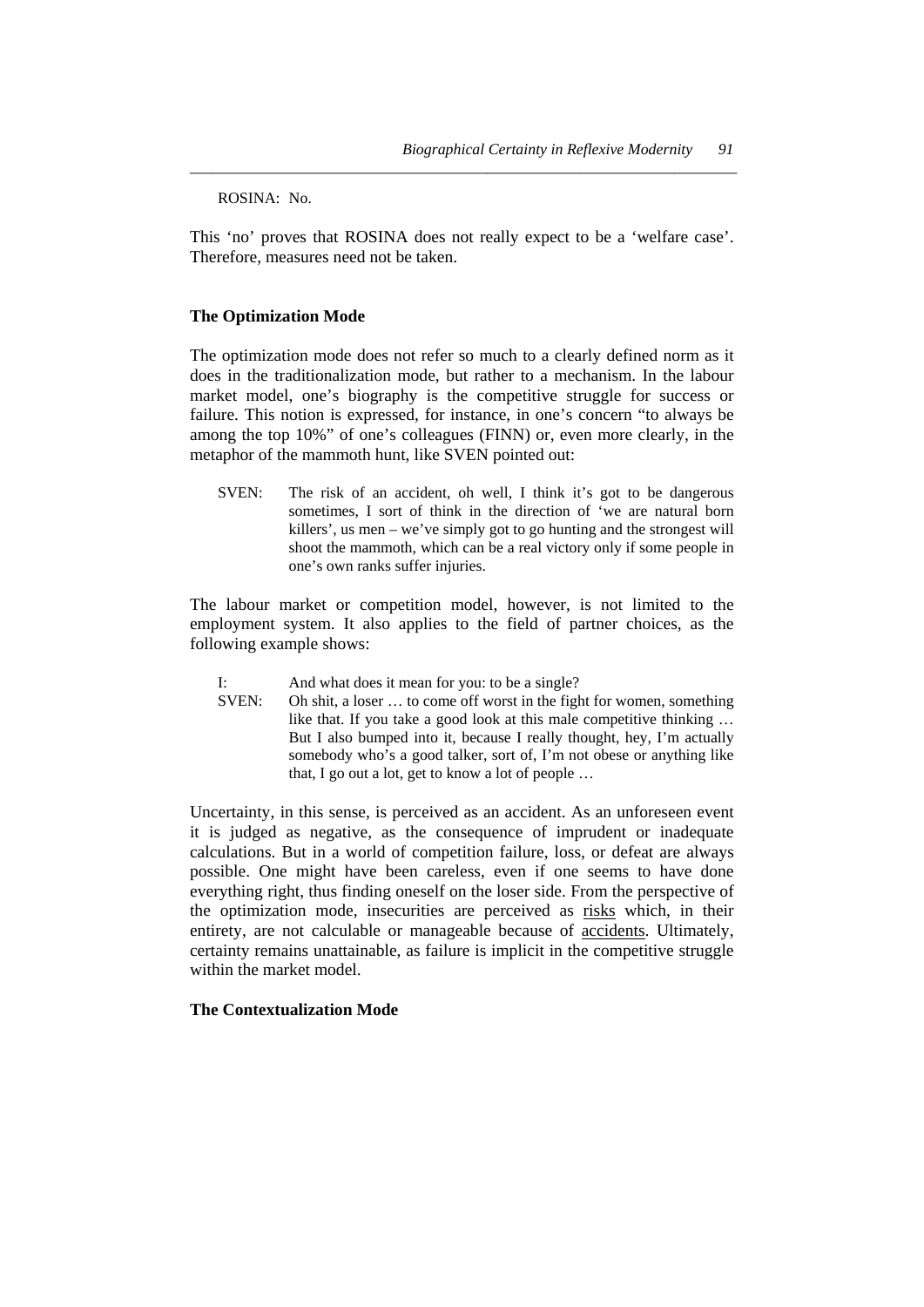ROSINA: No.

This 'no' proves that ROSINA does not really expect to be a 'welfare case'. Therefore, measures need not be taken.

*\_\_\_\_\_\_\_\_\_\_\_\_\_\_\_\_\_\_\_\_\_\_\_\_\_\_\_\_\_\_\_\_\_\_\_\_\_\_\_\_\_\_\_\_\_\_\_\_\_\_\_\_\_\_\_\_\_\_\_\_\_\_\_\_\_\_\_\_\_\_* 

#### **The Optimization Mode**

The optimization mode does not refer so much to a clearly defined norm as it does in the traditionalization mode, but rather to a mechanism. In the labour market model, one's biography is the competitive struggle for success or failure. This notion is expressed, for instance, in one's concern "to always be among the top 10%" of one's colleagues (FINN) or, even more clearly, in the metaphor of the mammoth hunt, like SVEN pointed out:

SVEN: The risk of an accident, oh well, I think it's got to be dangerous sometimes, I sort of think in the direction of 'we are natural born killers', us men – we've simply got to go hunting and the strongest will shoot the mammoth, which can be a real victory only if some people in one's own ranks suffer injuries.

The labour market or competition model, however, is not limited to the employment system. It also applies to the field of partner choices, as the following example shows:

- I: And what does it mean for you: to be a single?
- SVEN: Oh shit, a loser … to come off worst in the fight for women, something like that. If you take a good look at this male competitive thinking … But I also bumped into it, because I really thought, hey, I'm actually somebody who's a good talker, sort of, I'm not obese or anything like that, I go out a lot, get to know a lot of people …

Uncertainty, in this sense, is perceived as an accident. As an unforeseen event it is judged as negative, as the consequence of imprudent or inadequate calculations. But in a world of competition failure, loss, or defeat are always possible. One might have been careless, even if one seems to have done everything right, thus finding oneself on the loser side. From the perspective of the optimization mode, insecurities are perceived as risks which, in their entirety, are not calculable or manageable because of accidents. Ultimately, certainty remains unattainable, as failure is implicit in the competitive struggle within the market model.

#### **The Contextualization Mode**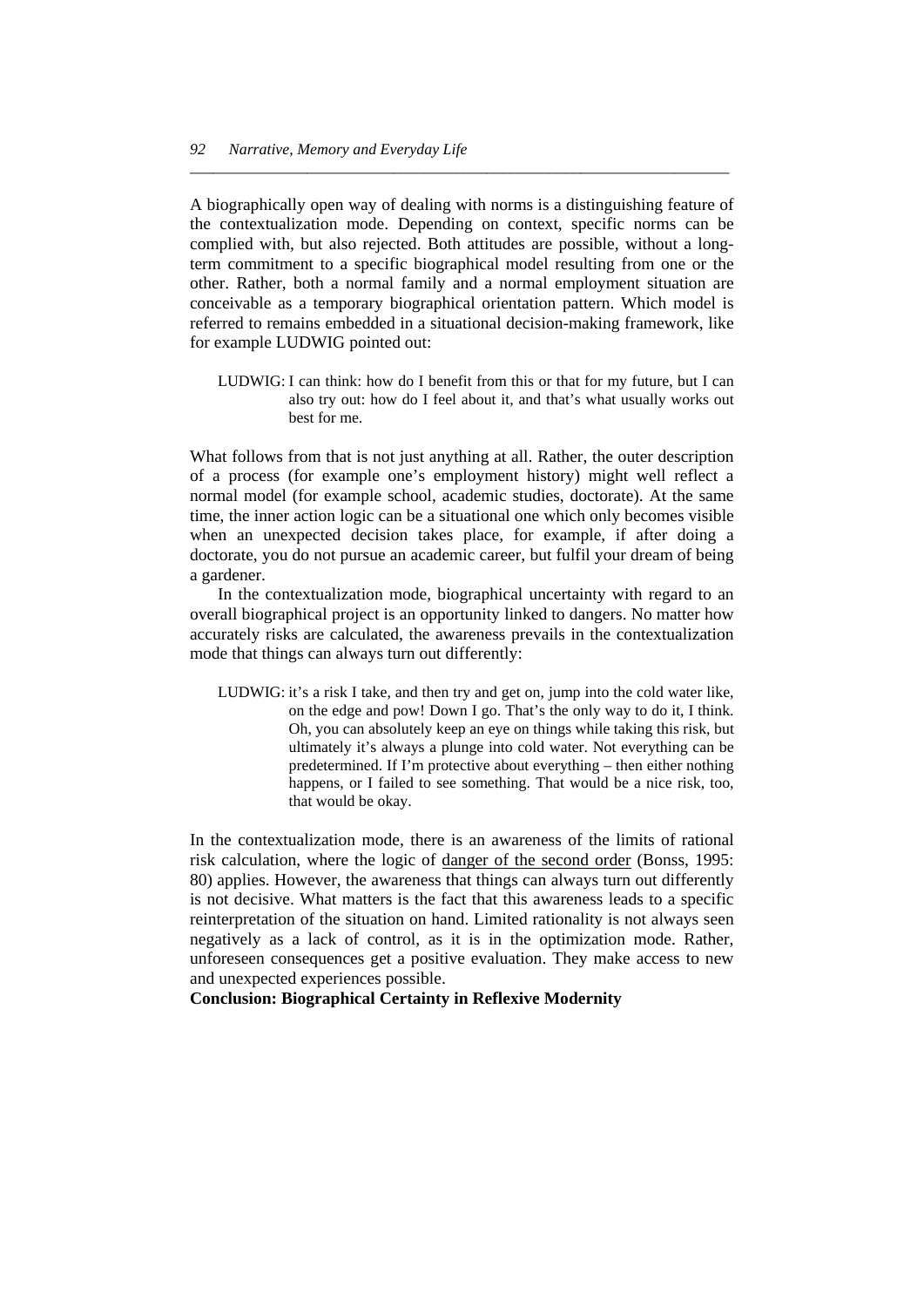A biographically open way of dealing with norms is a distinguishing feature of the contextualization mode. Depending on context, specific norms can be complied with, but also rejected. Both attitudes are possible, without a longterm commitment to a specific biographical model resulting from one or the other. Rather, both a normal family and a normal employment situation are conceivable as a temporary biographical orientation pattern. Which model is referred to remains embedded in a situational decision-making framework, like for example LUDWIG pointed out:

*\_\_\_\_\_\_\_\_\_\_\_\_\_\_\_\_\_\_\_\_\_\_\_\_\_\_\_\_\_\_\_\_\_\_\_\_\_\_\_\_\_\_\_\_\_\_\_\_\_\_\_\_\_\_\_\_\_\_\_\_\_\_\_\_\_\_\_\_\_* 

LUDWIG: I can think: how do I benefit from this or that for my future, but I can also try out: how do I feel about it, and that's what usually works out best for me.

What follows from that is not just anything at all. Rather, the outer description of a process (for example one's employment history) might well reflect a normal model (for example school, academic studies, doctorate). At the same time, the inner action logic can be a situational one which only becomes visible when an unexpected decision takes place, for example, if after doing a doctorate, you do not pursue an academic career, but fulfil your dream of being a gardener.

 In the contextualization mode, biographical uncertainty with regard to an overall biographical project is an opportunity linked to dangers. No matter how accurately risks are calculated, the awareness prevails in the contextualization mode that things can always turn out differently:

LUDWIG: it's a risk I take, and then try and get on, jump into the cold water like, on the edge and pow! Down I go. That's the only way to do it, I think. Oh, you can absolutely keep an eye on things while taking this risk, but ultimately it's always a plunge into cold water. Not everything can be predetermined. If I'm protective about everything – then either nothing happens, or I failed to see something. That would be a nice risk, too, that would be okay.

In the contextualization mode, there is an awareness of the limits of rational risk calculation, where the logic of danger of the second order (Bonss, 1995: 80) applies. However, the awareness that things can always turn out differently is not decisive. What matters is the fact that this awareness leads to a specific reinterpretation of the situation on hand. Limited rationality is not always seen negatively as a lack of control, as it is in the optimization mode. Rather, unforeseen consequences get a positive evaluation. They make access to new and unexpected experiences possible.

**Conclusion: Biographical Certainty in Reflexive Modernity**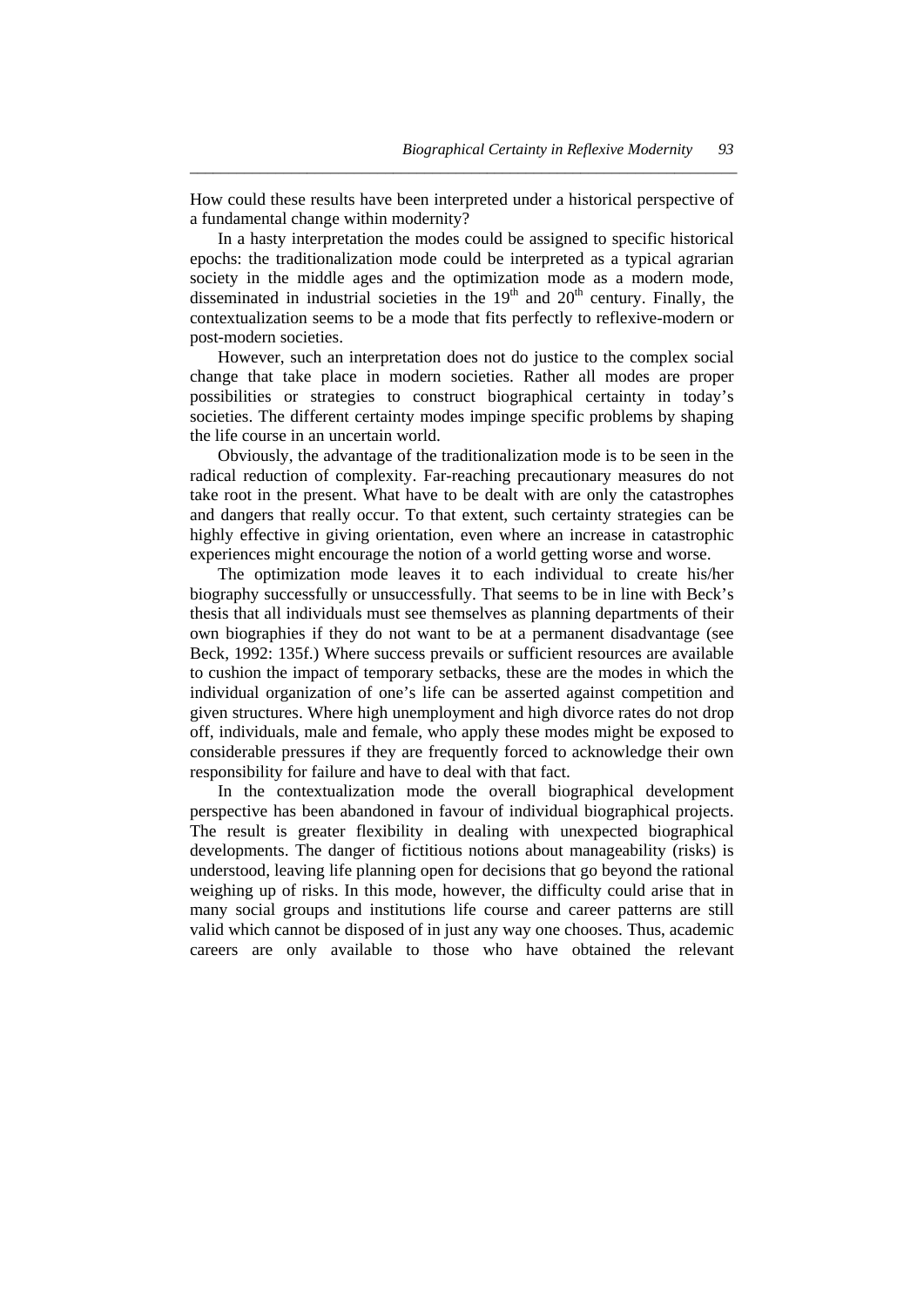How could these results have been interpreted under a historical perspective of a fundamental change within modernity?

*\_\_\_\_\_\_\_\_\_\_\_\_\_\_\_\_\_\_\_\_\_\_\_\_\_\_\_\_\_\_\_\_\_\_\_\_\_\_\_\_\_\_\_\_\_\_\_\_\_\_\_\_\_\_\_\_\_\_\_\_\_\_\_\_\_\_\_\_\_\_* 

 In a hasty interpretation the modes could be assigned to specific historical epochs: the traditionalization mode could be interpreted as a typical agrarian society in the middle ages and the optimization mode as a modern mode, disseminated in industrial societies in the  $19<sup>th</sup>$  and  $20<sup>th</sup>$  century. Finally, the contextualization seems to be a mode that fits perfectly to reflexive-modern or post-modern societies.

 However, such an interpretation does not do justice to the complex social change that take place in modern societies. Rather all modes are proper possibilities or strategies to construct biographical certainty in today's societies. The different certainty modes impinge specific problems by shaping the life course in an uncertain world.

 Obviously, the advantage of the traditionalization mode is to be seen in the radical reduction of complexity. Far-reaching precautionary measures do not take root in the present. What have to be dealt with are only the catastrophes and dangers that really occur. To that extent, such certainty strategies can be highly effective in giving orientation, even where an increase in catastrophic experiences might encourage the notion of a world getting worse and worse.

 The optimization mode leaves it to each individual to create his/her biography successfully or unsuccessfully. That seems to be in line with Beck's thesis that all individuals must see themselves as planning departments of their own biographies if they do not want to be at a permanent disadvantage (see Beck, 1992: 135f.) Where success prevails or sufficient resources are available to cushion the impact of temporary setbacks, these are the modes in which the individual organization of one's life can be asserted against competition and given structures. Where high unemployment and high divorce rates do not drop off, individuals, male and female, who apply these modes might be exposed to considerable pressures if they are frequently forced to acknowledge their own responsibility for failure and have to deal with that fact.

 In the contextualization mode the overall biographical development perspective has been abandoned in favour of individual biographical projects. The result is greater flexibility in dealing with unexpected biographical developments. The danger of fictitious notions about manageability (risks) is understood, leaving life planning open for decisions that go beyond the rational weighing up of risks. In this mode, however, the difficulty could arise that in many social groups and institutions life course and career patterns are still valid which cannot be disposed of in just any way one chooses. Thus, academic careers are only available to those who have obtained the relevant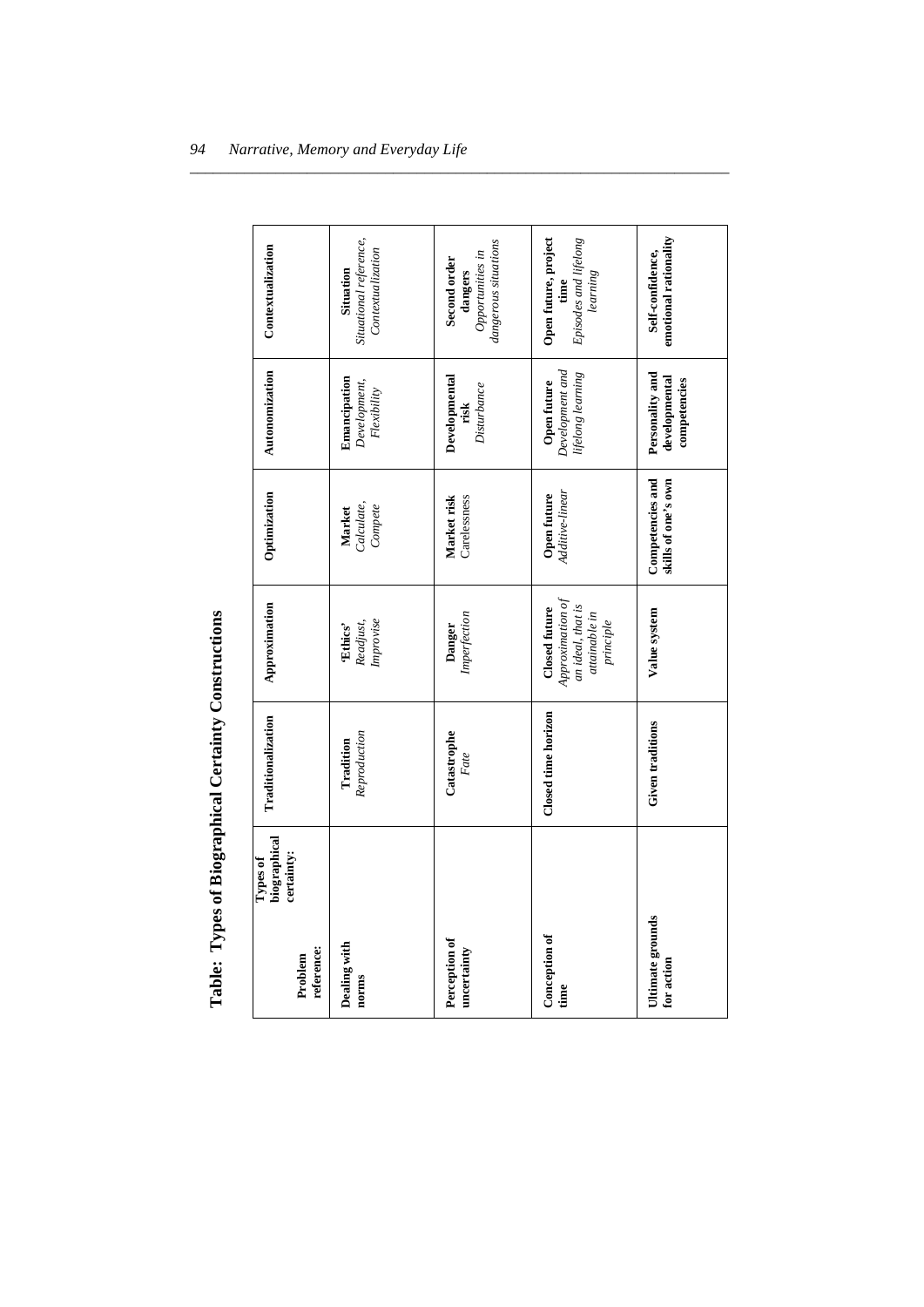| reference:<br>Problem          | biographical<br>certainty:<br>Types of | Traditionalization        | Approximation                                                                        | Optimization                            | Autonomization                                                  | Contextualization                                                   |
|--------------------------------|----------------------------------------|---------------------------|--------------------------------------------------------------------------------------|-----------------------------------------|-----------------------------------------------------------------|---------------------------------------------------------------------|
| Dealing with<br>norms          |                                        | Reproduction<br>Tradition | Improvise<br>Readjust,<br>'Ethics'                                                   | Calculate,<br>Compete<br>Market         | Emancipation<br>$\label{thm:level} Development,$<br>Flexibility | Situational reference,<br>Contextualization<br>Situation            |
| Perception of<br>uncertainty   |                                        | Catastrophe<br>Fate       | Imperfection<br>Danger                                                               | Market risk<br>Carelessness             | Developmental<br>Disturbance<br>risk                            | dangerous situations<br>Opportunities in<br>Second order<br>dangers |
| Conception of<br>time          |                                        | Closed time horizon       | Approximation of<br>an ideal, that is<br>Closed future<br>attainable in<br>principle | Additive-linear<br>Open future          | Development and<br>lifelong learning<br>Open future             | Episodes and lifelong<br>Open future, project<br>learning<br>time   |
| Ultimate grounds<br>for action |                                        | Given traditions          | Value system                                                                         | Competencies and<br>skills of one's own | Personality and<br>developmental<br>competencies                | emotional rationality<br>Self-confidence,                           |

*\_\_\_\_\_\_\_\_\_\_\_\_\_\_\_\_\_\_\_\_\_\_\_\_\_\_\_\_\_\_\_\_\_\_\_\_\_\_\_\_\_\_\_\_\_\_\_\_\_\_\_\_\_\_\_\_\_\_\_\_\_\_\_\_\_\_\_\_\_* 

Table: Types of Biographical Certainty Constructions **Table: Types of Biographical Certainty Constructions**